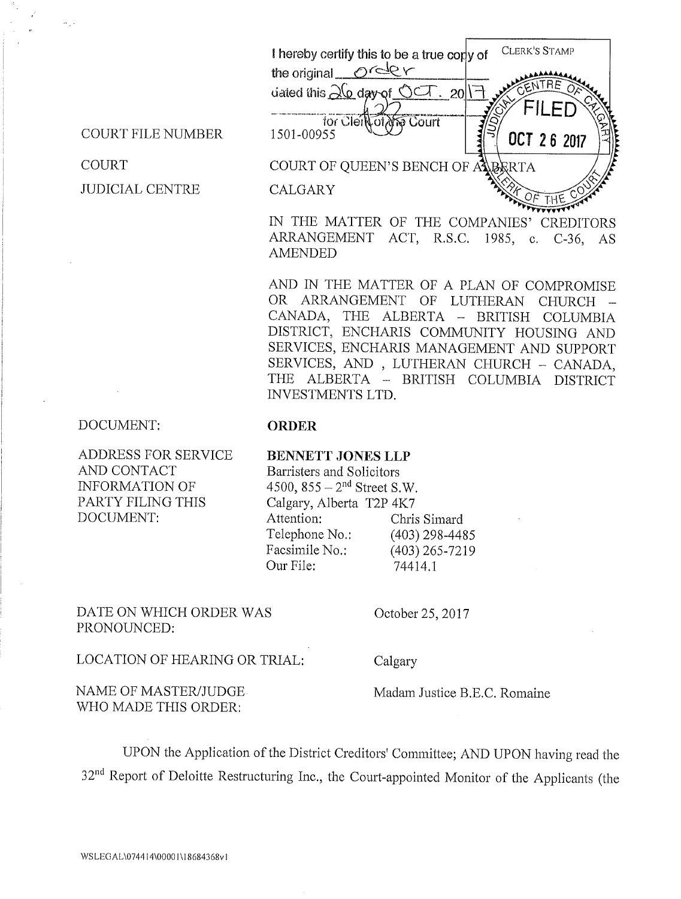

IN THE MATTER OF THE COMPANIES' CREDITORS <sup>A</sup>RRANGEMENT ACT, R.S.C. 1985, c. C-36, AS AMENDED

AND IN THE MATTER OF A PLAN OF COMPROMISE OR ARRANGEMENT OF LUTHERAN CHURCH CANADA, THE ALBERTA — BRITISH COLUMBIA DISTRICT, ENCHARIS COMMUNITY HOUSING AND SERVICES, ENCHARIS MANAGEMENT AND SUPPORT <sup>S</sup>ERVICES, AND , LUTHERAN CHURCH — CANADA, THE ALBERTA — BRITISH COLUMBIA DISTRICT INVESTMENTS LTD.

## DOCUMENT:

ADDRESS FOR SERVICE AND CONTACT INFORMATION OF PARTY FILING THIS DOCUMENT:

COURT FILE NUMBER

JUDICIAL CENTRE

COURT

## ORDER

## BENNETT JONES LLP Barristers and Solicitors

4500,  $855 - 2^{nd}$  Street S.W. Calgary, Alberta T2P 4K7 Attention: Telephone No.: Facsimile No.: Our File: Chris Simard (403) 298-4485 (403) 265-7219 74414.1

DATE ON WHICH ORDER WAS PRONOUNCED:

October 25, 2017

LOCATION OF HEARING OR TRIAL:

Calgary

NAME OF MASTER/JUDGE WHO MADE THIS ORDER:

Madam Justice B.E.C. Romaine

<sup>U</sup>PON the Application of the District Creditors' Committee; AND UPON having read the 32<sup>nd</sup> Report of Deloitte Restructuring Inc., the Court-appointed Monitor of the Applicants (the